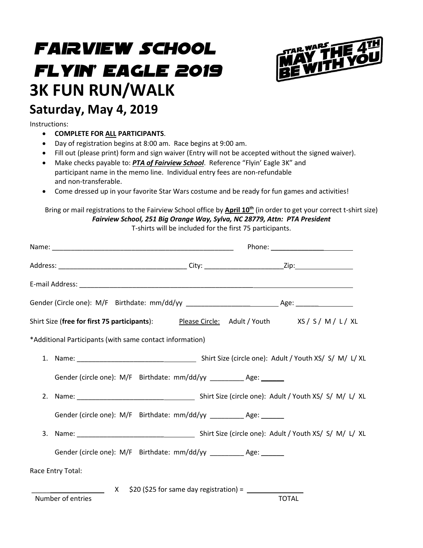# *FAIRVIEW SCHOOL FLYIN' EAGLE 2019* **3K FUN RUN/WALK Saturday, May 4, 2019**



### Instructions:

- **COMPLETE FOR ALL PARTICIPANTS**.
- Day of registration begins at 8:00 am. Race begins at 9:00 am.
- Fill out (please print) form and sign waiver (Entry will not be accepted without the signed waiver).
- Make checks payable to: *PTA of Fairview School*. Reference "Flyin' Eagle 3K" and participant name in the memo line. Individual entry fees are non-refundable and non-transferable.
- Come dressed up in your favorite Star Wars costume and be ready for fun games and activities!

Bring or mail registrations to the Fairview School office by **April 10 th** (in order to get your correct t-shirt size) *Fairview School, 251 Big Orange Way, Sylva, NC 28779, Attn: PTA President*

T-shirts will be included for the first 75 participants.

|                                                                                |                                                                                                                  | Phone: __________________________ |  |              |  |
|--------------------------------------------------------------------------------|------------------------------------------------------------------------------------------------------------------|-----------------------------------|--|--------------|--|
|                                                                                |                                                                                                                  |                                   |  |              |  |
|                                                                                |                                                                                                                  |                                   |  |              |  |
|                                                                                |                                                                                                                  |                                   |  |              |  |
|                                                                                | Shirt Size ( <b>free for first 75 participants</b> ): <u>Please Circle:</u> Adult / Youth    XS / S / M / L / XL |                                   |  |              |  |
|                                                                                | *Additional Participants (with same contact information)                                                         |                                   |  |              |  |
|                                                                                |                                                                                                                  |                                   |  |              |  |
|                                                                                | Gender (circle one): M/F Birthdate: mm/dd/yy __________ Age: ______                                              |                                   |  |              |  |
|                                                                                |                                                                                                                  |                                   |  |              |  |
|                                                                                | Gender (circle one): M/F    Birthdate: mm/dd/yy __________    Age: ______                                        |                                   |  |              |  |
|                                                                                |                                                                                                                  |                                   |  |              |  |
|                                                                                | Gender (circle one): M/F Birthdate: mm/dd/yy __________ Age: ______                                              |                                   |  |              |  |
|                                                                                | Race Entry Total:                                                                                                |                                   |  |              |  |
| $X$ \$20 (\$25 for same day registration) = $\frac{1}{1}$<br>Number of entries |                                                                                                                  |                                   |  | <b>TOTAL</b> |  |